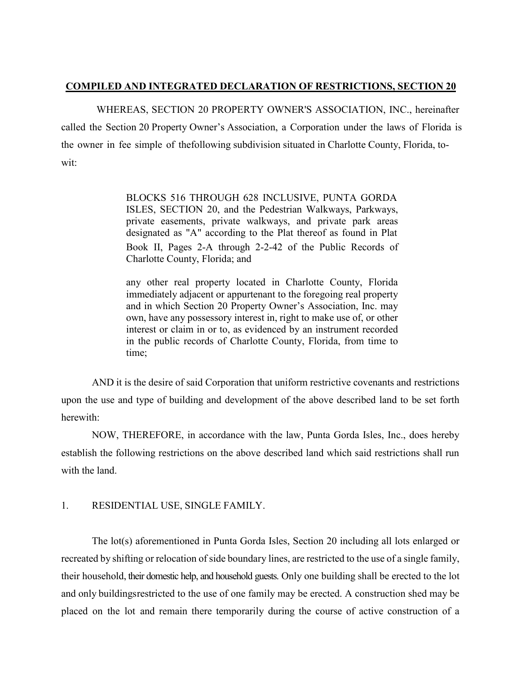# **COMPILED AND INTEGRATED DECLARATION OF RESTRICTIONS, SECTION 20**

WHEREAS, SECTION 20 PROPERTY OWNER'S ASSOCIATION, INC., hereinafter called the Section 20 Property Owner's Association, a Corporation under the laws of Florida is the owner in fee simple of thefollowing subdivision situated in Charlotte County, Florida, towit:

> BLOCKS 516 THROUGH 628 INCLUSIVE, PUNTA GORDA ISLES, SECTION 20, and the Pedestrian Walkways, Parkways, private easements, private walkways, and private park areas designated as "A" according to the Plat thereof as found in Plat Book II, Pages 2-A through 2-2-42 of the Public Records of Charlotte County, Florida; and

> any other real property located in Charlotte County, Florida immediately adjacent or appurtenant to the foregoing real property and in which Section 20 Property Owner's Association, Inc. may own, have any possessory interest in, right to make use of, or other interest or claim in or to, as evidenced by an instrument recorded in the public records of Charlotte County, Florida, from time to time;

AND it is the desire of said Corporation that uniform restrictive covenants and restrictions upon the use and type of building and development of the above described land to be set forth herewith:

NOW, THEREFORE, in accordance with the law, Punta Gorda Isles, Inc., does hereby establish the following restrictions on the above described land which said restrictions shall run with the land.

# 1. RESIDENTIAL USE, SINGLE FAMILY.

The lot(s) aforementioned in Punta Gorda Isles, Section 20 including all lots enlarged or recreated by shifting or relocation of side boundary lines, are restricted to the use of a single family, their household, their domestic help, and household guests. Only one building shall be erected to the lot and only buildingsrestricted to the use of one family may be erected. A construction shed may be placed on the lot and remain there temporarily during the course of active construction of a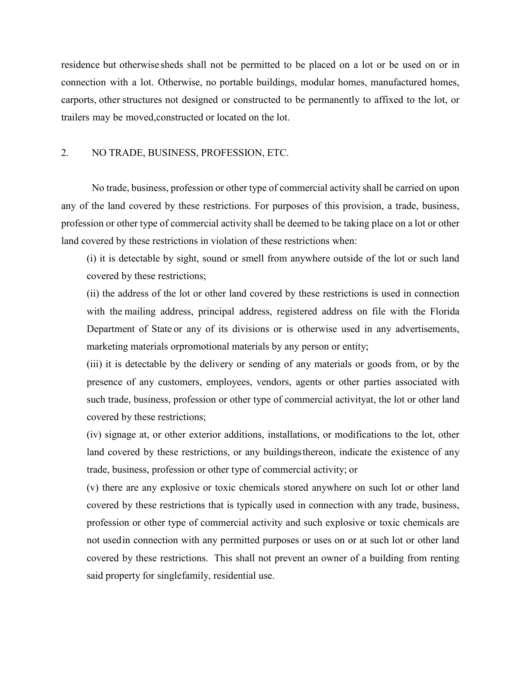residence but otherwise sheds shall not be permitted to be placed on a lot or be used on or in connection with a lot. Otherwise, no portable buildings, modular homes, manufactured homes, carports, other structures not designed or constructed to be permanently to affixed to the lot, or trailers may be moved,constructed or located on the lot.

# 2. NO TRADE, BUSINESS, PROFESSION, ETC.

No trade, business, profession or other type of commercial activity shall be carried on upon any of the land covered by these restrictions. For purposes of this provision, a trade, business, profession or other type of commercial activity shall be deemed to be taking place on a lot or other land covered by these restrictions in violation of these restrictions when:

(i) it is detectable by sight, sound or smell from anywhere outside of the lot or such land covered by these restrictions;

(ii) the address of the lot or other land covered by these restrictions is used in connection with the mailing address, principal address, registered address on file with the Florida Department of State or any of its divisions or is otherwise used in any advertisements, marketing materials orpromotional materials by any person or entity;

(iii) it is detectable by the delivery or sending of any materials or goods from, or by the presence of any customers, employees, vendors, agents or other parties associated with such trade, business, profession or other type of commercial activityat, the lot or other land covered by these restrictions;

(iv) signage at, or other exterior additions, installations, or modifications to the lot, other land covered by these restrictions, or any buildingsthereon, indicate the existence of any trade, business, profession or other type of commercial activity; or

(v) there are any explosive or toxic chemicals stored anywhere on such lot or other land covered by these restrictions that is typically used in connection with any trade, business, profession or other type of commercial activity and such explosive or toxic chemicals are not usedin connection with any permitted purposes or uses on or at such lot or other land covered by these restrictions. This shall not prevent an owner of a building from renting said property for singlefamily, residential use.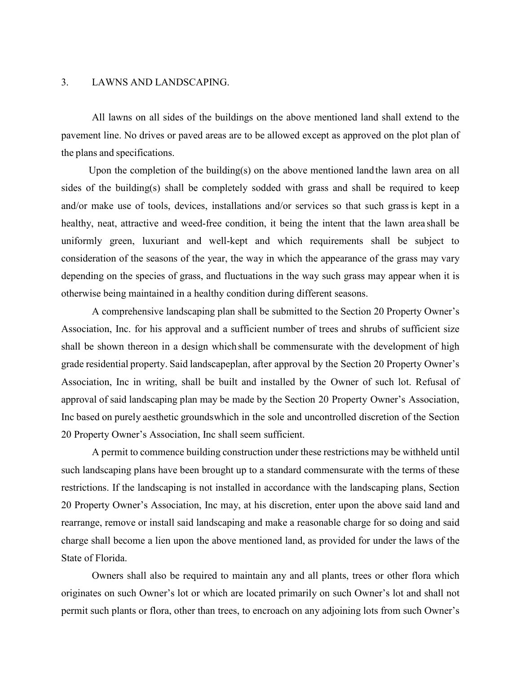## 3. LAWNS AND LANDSCAPING.

All lawns on all sides of the buildings on the above mentioned land shall extend to the pavement line. No drives or paved areas are to be allowed except as approved on the plot plan of the plans and specifications.

Upon the completion of the building(s) on the above mentioned landthe lawn area on all sides of the building(s) shall be completely sodded with grass and shall be required to keep and/or make use of tools, devices, installations and/or services so that such grassis kept in a healthy, neat, attractive and weed-free condition, it being the intent that the lawn area shall be uniformly green, luxuriant and well-kept and which requirements shall be subject to consideration of the seasons of the year, the way in which the appearance of the grass may vary depending on the species of grass, and fluctuations in the way such grass may appear when it is otherwise being maintained in a healthy condition during different seasons.

A comprehensive landscaping plan shall be submitted to the Section 20 Property Owner's Association, Inc. for his approval and a sufficient number of trees and shrubs of sufficient size shall be shown thereon in a design which shall be commensurate with the development of high grade residential property. Said landscapeplan, after approval by the Section 20 Property Owner's Association, Inc in writing, shall be built and installed by the Owner of such lot. Refusal of approval of said landscaping plan may be made by the Section 20 Property Owner's Association, Inc based on purely aesthetic groundswhich in the sole and uncontrolled discretion of the Section 20 Property Owner's Association, Inc shall seem sufficient.

A permit to commence building construction under these restrictions may be withheld until such landscaping plans have been brought up to a standard commensurate with the terms of these restrictions. If the landscaping is not installed in accordance with the landscaping plans, Section 20 Property Owner's Association, Inc may, at his discretion, enter upon the above said land and rearrange, remove or install said landscaping and make a reasonable charge for so doing and said charge shall become a lien upon the above mentioned land, as provided for under the laws of the State of Florida.

Owners shall also be required to maintain any and all plants, trees or other flora which originates on such Owner's lot or which are located primarily on such Owner's lot and shall not permit such plants or flora, other than trees, to encroach on any adjoining lots from such Owner's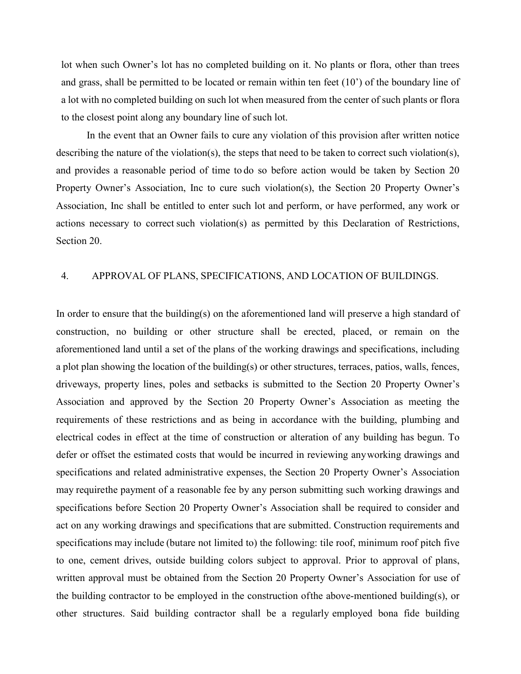lot when such Owner's lot has no completed building on it. No plants or flora, other than trees and grass, shall be permitted to be located or remain within ten feet (10') of the boundary line of a lot with no completed building on such lot when measured from the center of such plants or flora to the closest point along any boundary line of such lot.

In the event that an Owner fails to cure any violation of this provision after written notice describing the nature of the violation(s), the steps that need to be taken to correct such violation(s), and provides a reasonable period of time to do so before action would be taken by Section 20 Property Owner's Association, Inc to cure such violation(s), the Section 20 Property Owner's Association, Inc shall be entitled to enter such lot and perform, or have performed, any work or actions necessary to correct such violation(s) as permitted by this Declaration of Restrictions, Section 20.

# 4. APPROVAL OF PLANS, SPECIFICATIONS, AND LOCATION OF BUILDINGS.

In order to ensure that the building(s) on the aforementioned land will preserve a high standard of construction, no building or other structure shall be erected, placed, or remain on the aforementioned land until a set of the plans of the working drawings and specifications, including a plot plan showing the location of the building(s) or other structures, terraces, patios, walls, fences, driveways, property lines, poles and setbacks is submitted to the Section 20 Property Owner's Association and approved by the Section 20 Property Owner's Association as meeting the requirements of these restrictions and as being in accordance with the building, plumbing and electrical codes in effect at the time of construction or alteration of any building has begun. To defer or offset the estimated costs that would be incurred in reviewing anyworking drawings and specifications and related administrative expenses, the Section 20 Property Owner's Association may requirethe payment of a reasonable fee by any person submitting such working drawings and specifications before Section 20 Property Owner's Association shall be required to consider and act on any working drawings and specifications that are submitted. Construction requirements and specifications may include (butare not limited to) the following: tile roof, minimum roof pitch five to one, cement drives, outside building colors subject to approval. Prior to approval of plans, written approval must be obtained from the Section 20 Property Owner's Association for use of the building contractor to be employed in the construction ofthe above-mentioned building(s), or other structures. Said building contractor shall be a regularly employed bona fide building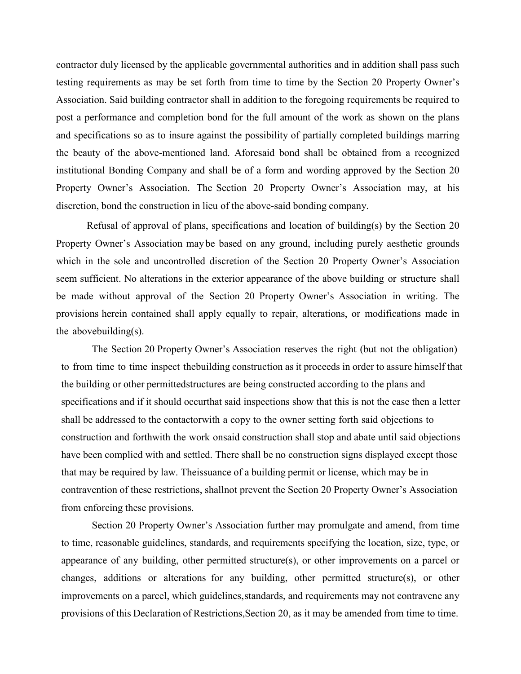contractor duly licensed by the applicable governmental authorities and in addition shall pass such testing requirements as may be set forth from time to time by the Section 20 Property Owner's Association. Said building contractor shall in addition to the foregoing requirements be required to post a performance and completion bond for the full amount of the work as shown on the plans and specifications so as to insure against the possibility of partially completed buildings marring the beauty of the above-mentioned land. Aforesaid bond shall be obtained from a recognized institutional Bonding Company and shall be of a form and wording approved by the Section 20 Property Owner's Association. The Section 20 Property Owner's Association may, at his discretion, bond the construction in lieu of the above-said bonding company.

Refusal of approval of plans, specifications and location of building(s) by the Section 20 Property Owner's Association may be based on any ground, including purely aesthetic grounds which in the sole and uncontrolled discretion of the Section 20 Property Owner's Association seem sufficient. No alterations in the exterior appearance of the above building or structure shall be made without approval of the Section 20 Property Owner's Association in writing. The provisions herein contained shall apply equally to repair, alterations, or modifications made in the abovebuilding(s).

The Section 20 Property Owner's Association reserves the right (but not the obligation) to from time to time inspect thebuilding construction as it proceeds in order to assure himself that the building or other permittedstructures are being constructed according to the plans and specifications and if it should occurthat said inspections show that this is not the case then a letter shall be addressed to the contactorwith a copy to the owner setting forth said objections to construction and forthwith the work onsaid construction shall stop and abate until said objections have been complied with and settled. There shall be no construction signs displayed except those that may be required by law. Theissuance of a building permit or license, which may be in contravention of these restrictions, shallnot prevent the Section 20 Property Owner's Association from enforcing these provisions.

Section 20 Property Owner's Association further may promulgate and amend, from time to time, reasonable guidelines, standards, and requirements specifying the location, size, type, or appearance of any building, other permitted structure(s), or other improvements on a parcel or changes, additions or alterations for any building, other permitted structure(s), or other improvements on a parcel, which guidelines,standards, and requirements may not contravene any provisions of this Declaration of Restrictions,Section 20, as it may be amended from time to time.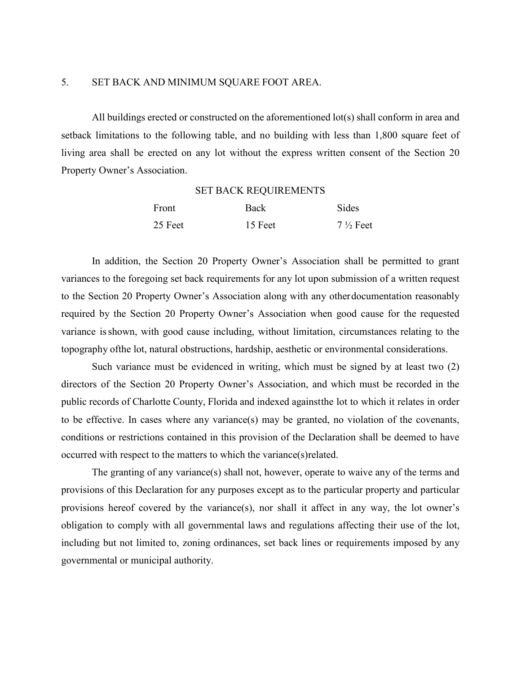#### 5. SET BACK AND MINIMUM SQUARE FOOT AREA.

All buildings erected or constructed on the aforementioned lot(s) shall conform in area and setback limitations to the following table, and no building with less than 1,800 square feet of living area shall be erected on any lot without the express written consent of the Section 20 Property Owner's Association.

# Front Back Sides 25 Feet  $15$  Feet  $7\frac{1}{2}$  Feet

SET BACK REQUIREMENTS

In addition, the Section 20 Property Owner's Association shall be permitted to grant variances to the foregoing set back requirements for any lot upon submission of a written request to the Section 20 Property Owner's Association along with any otherdocumentation reasonably required by the Section 20 Property Owner's Association when good cause for the requested variance isshown, with good cause including, without limitation, circumstances relating to the topography ofthe lot, natural obstructions, hardship, aesthetic or environmental considerations.

Such variance must be evidenced in writing, which must be signed by at least two (2) directors of the Section 20 Property Owner's Association, and which must be recorded in the public records of Charlotte County, Florida and indexed againstthe lot to which it relates in order to be effective. In cases where any variance(s) may be granted, no violation of the covenants, conditions or restrictions contained in this provision of the Declaration shall be deemed to have occurred with respect to the matters to which the variance(s)related.

The granting of any variance(s) shall not, however, operate to waive any of the terms and provisions of this Declaration for any purposes except as to the particular property and particular provisions hereof covered by the variance(s), nor shall it affect in any way, the lot owner's obligation to comply with all governmental laws and regulations affecting their use of the lot, including but not limited to, zoning ordinances, set back lines or requirements imposed by any governmental or municipal authority.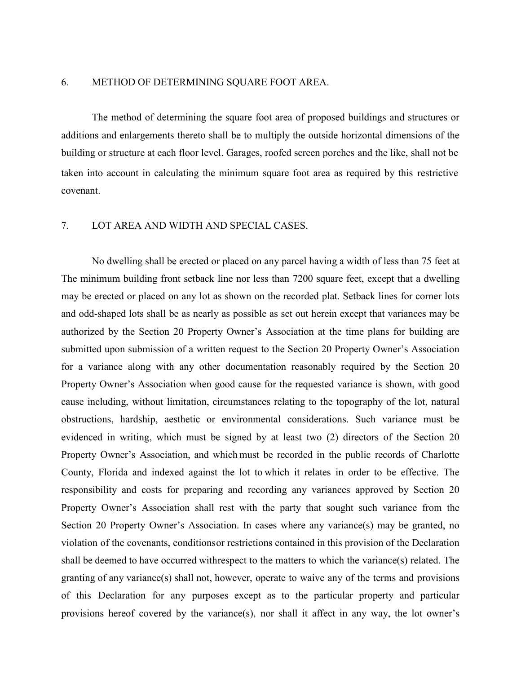#### 6. METHOD OF DETERMINING SQUARE FOOT AREA.

The method of determining the square foot area of proposed buildings and structures or additions and enlargements thereto shall be to multiply the outside horizontal dimensions of the building or structure at each floor level. Garages, roofed screen porches and the like, shall not be taken into account in calculating the minimum square foot area as required by this restrictive covenant.

## 7. LOT AREA AND WIDTH AND SPECIAL CASES.

No dwelling shall be erected or placed on any parcel having a width of less than 75 feet at The minimum building front setback line nor less than 7200 square feet, except that a dwelling may be erected or placed on any lot as shown on the recorded plat. Setback lines for corner lots and odd-shaped lots shall be as nearly as possible as set out herein except that variances may be authorized by the Section 20 Property Owner's Association at the time plans for building are submitted upon submission of a written request to the Section 20 Property Owner's Association for a variance along with any other documentation reasonably required by the Section 20 Property Owner's Association when good cause for the requested variance is shown, with good cause including, without limitation, circumstances relating to the topography of the lot, natural obstructions, hardship, aesthetic or environmental considerations. Such variance must be evidenced in writing, which must be signed by at least two (2) directors of the Section 20 Property Owner's Association, and which must be recorded in the public records of Charlotte County, Florida and indexed against the lot to which it relates in order to be effective. The responsibility and costs for preparing and recording any variances approved by Section 20 Property Owner's Association shall rest with the party that sought such variance from the Section 20 Property Owner's Association. In cases where any variance(s) may be granted, no violation of the covenants, conditionsor restrictions contained in this provision of the Declaration shall be deemed to have occurred withrespect to the matters to which the variance(s) related. The granting of any variance(s) shall not, however, operate to waive any of the terms and provisions of this Declaration for any purposes except as to the particular property and particular provisions hereof covered by the variance(s), nor shall it affect in any way, the lot owner's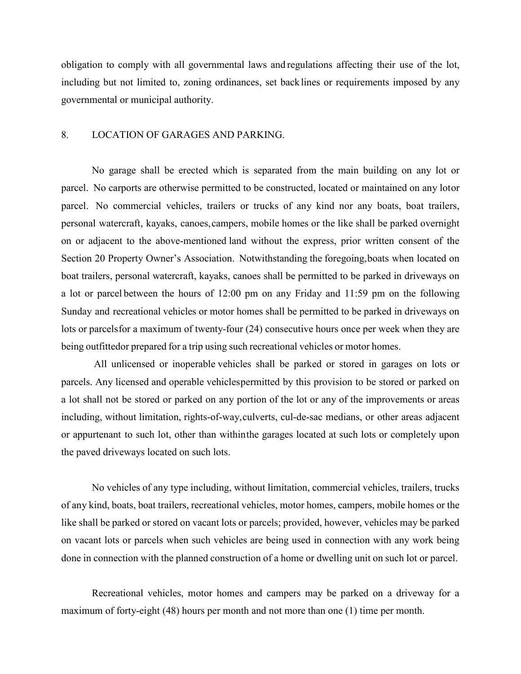obligation to comply with all governmental laws and regulations affecting their use of the lot, including but not limited to, zoning ordinances, set backlines or requirements imposed by any governmental or municipal authority.

## 8. LOCATION OF GARAGES AND PARKING.

No garage shall be erected which is separated from the main building on any lot or parcel. No carports are otherwise permitted to be constructed, located or maintained on any lotor parcel. No commercial vehicles, trailers or trucks of any kind nor any boats, boat trailers, personal watercraft, kayaks, canoes,campers, mobile homes or the like shall be parked overnight on or adjacent to the above-mentioned land without the express, prior written consent of the Section 20 Property Owner's Association. Notwithstanding the foregoing, boats when located on boat trailers, personal watercraft, kayaks, canoes shall be permitted to be parked in driveways on a lot or parcel between the hours of 12:00 pm on any Friday and 11:59 pm on the following Sunday and recreational vehicles or motor homes shall be permitted to be parked in driveways on lots or parcelsfor a maximum of twenty-four (24) consecutive hours once per week when they are being outfittedor prepared for a trip using such recreational vehicles or motor homes.

All unlicensed or inoperable vehicles shall be parked or stored in garages on lots or parcels. Any licensed and operable vehiclespermitted by this provision to be stored or parked on a lot shall not be stored or parked on any portion of the lot or any of the improvements or areas including, without limitation, rights-of-way,culverts, cul-de-sac medians, or other areas adjacent or appurtenant to such lot, other than withinthe garages located at such lots or completely upon the paved driveways located on such lots.

No vehicles of any type including, without limitation, commercial vehicles, trailers, trucks of any kind, boats, boat trailers, recreational vehicles, motor homes, campers, mobile homes or the like shall be parked or stored on vacant lots or parcels; provided, however, vehicles may be parked on vacant lots or parcels when such vehicles are being used in connection with any work being done in connection with the planned construction of a home or dwelling unit on such lot or parcel.

Recreational vehicles, motor homes and campers may be parked on a driveway for a maximum of forty-eight (48) hours per month and not more than one (1) time per month.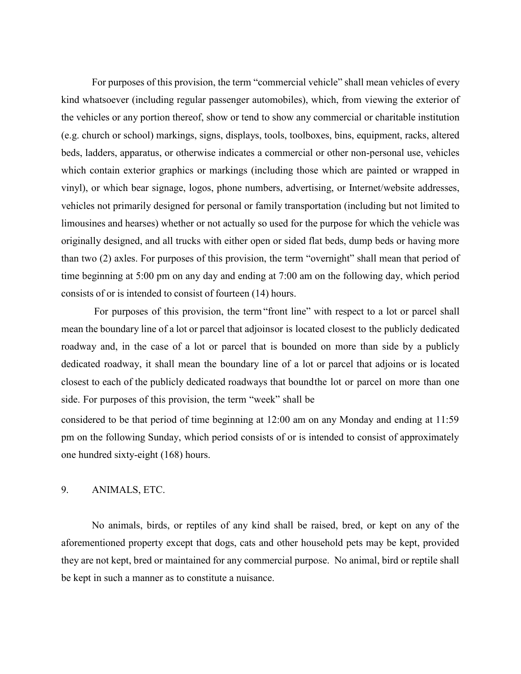For purposes of this provision, the term "commercial vehicle" shall mean vehicles of every kind whatsoever (including regular passenger automobiles), which, from viewing the exterior of the vehicles or any portion thereof, show or tend to show any commercial or charitable institution (e.g. church or school) markings, signs, displays, tools, toolboxes, bins, equipment, racks, altered beds, ladders, apparatus, or otherwise indicates a commercial or other non-personal use, vehicles which contain exterior graphics or markings (including those which are painted or wrapped in vinyl), or which bear signage, logos, phone numbers, advertising, or Internet/website addresses, vehicles not primarily designed for personal or family transportation (including but not limited to limousines and hearses) whether or not actually so used for the purpose for which the vehicle was originally designed, and all trucks with either open or sided flat beds, dump beds or having more than two (2) axles. For purposes of this provision, the term "overnight" shall mean that period of time beginning at 5:00 pm on any day and ending at 7:00 am on the following day, which period consists of or is intended to consist of fourteen (14) hours.

For purposes of this provision, the term"front line" with respect to a lot or parcel shall mean the boundary line of a lot or parcel that adjoinsor is located closest to the publicly dedicated roadway and, in the case of a lot or parcel that is bounded on more than side by a publicly dedicated roadway, it shall mean the boundary line of a lot or parcel that adjoins or is located closest to each of the publicly dedicated roadways that boundthe lot or parcel on more than one side. For purposes of this provision, the term "week" shall be

considered to be that period of time beginning at 12:00 am on any Monday and ending at 11:59 pm on the following Sunday, which period consists of or is intended to consist of approximately one hundred sixty-eight (168) hours.

## 9. ANIMALS, ETC.

No animals, birds, or reptiles of any kind shall be raised, bred, or kept on any of the aforementioned property except that dogs, cats and other household pets may be kept, provided they are not kept, bred or maintained for any commercial purpose. No animal, bird or reptile shall be kept in such a manner as to constitute a nuisance.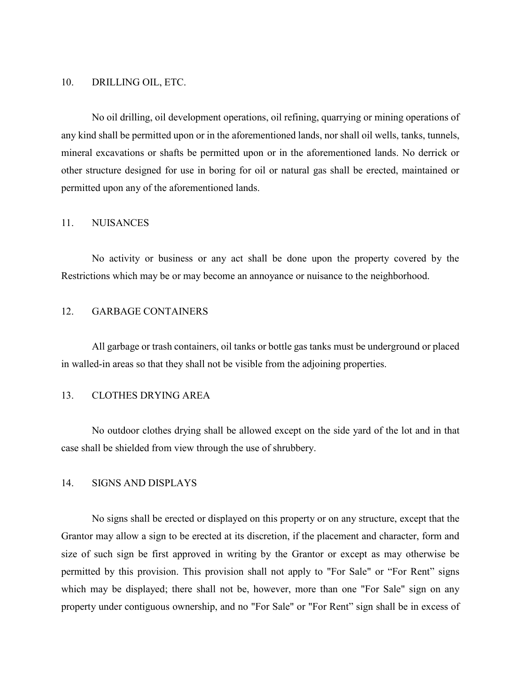#### 10. DRILLING OIL, ETC.

No oil drilling, oil development operations, oil refining, quarrying or mining operations of any kind shall be permitted upon or in the aforementioned lands, nor shall oil wells, tanks, tunnels, mineral excavations or shafts be permitted upon or in the aforementioned lands. No derrick or other structure designed for use in boring for oil or natural gas shall be erected, maintained or permitted upon any of the aforementioned lands.

#### 11. NUISANCES

No activity or business or any act shall be done upon the property covered by the Restrictions which may be or may become an annoyance or nuisance to the neighborhood.

# 12. GARBAGE CONTAINERS

All garbage or trash containers, oil tanks or bottle gas tanks must be underground or placed in walled-in areas so that they shall not be visible from the adjoining properties.

# 13. CLOTHES DRYING AREA

No outdoor clothes drying shall be allowed except on the side yard of the lot and in that case shall be shielded from view through the use of shrubbery.

## 14. SIGNS AND DISPLAYS

No signs shall be erected or displayed on this property or on any structure, except that the Grantor may allow a sign to be erected at its discretion, if the placement and character, form and size of such sign be first approved in writing by the Grantor or except as may otherwise be permitted by this provision. This provision shall not apply to "For Sale" or "For Rent" signs which may be displayed; there shall not be, however, more than one "For Sale" sign on any property under contiguous ownership, and no "For Sale" or "For Rent" sign shall be in excess of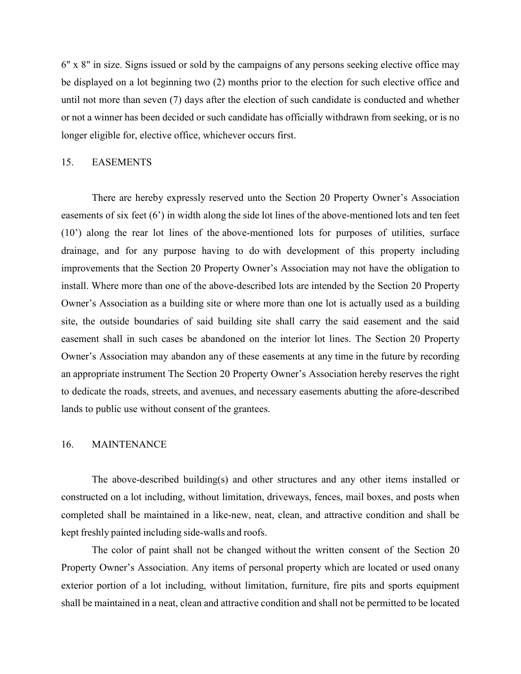6" x 8" in size. Signs issued or sold by the campaigns of any persons seeking elective office may be displayed on a lot beginning two (2) months prior to the election for such elective office and until not more than seven (7) days after the election of such candidate is conducted and whether or not a winner has been decided or such candidate has officially withdrawn from seeking, or is no longer eligible for, elective office, whichever occurs first.

#### 15. EASEMENTS

There are hereby expressly reserved unto the Section 20 Property Owner's Association easements of six feet (6') in width along the side lot lines of the above-mentioned lots and ten feet (10') along the rear lot lines of the above-mentioned lots for purposes of utilities, surface drainage, and for any purpose having to do with development of this property including improvements that the Section 20 Property Owner's Association may not have the obligation to install. Where more than one of the above-described lots are intended by the Section 20 Property Owner's Association as a building site or where more than one lot is actually used as a building site, the outside boundaries of said building site shall carry the said easement and the said easement shall in such cases be abandoned on the interior lot lines. The Section 20 Property Owner's Association may abandon any of these easements at any time in the future by recording an appropriate instrument The Section 20 Property Owner's Association hereby reserves the right to dedicate the roads, streets, and avenues, and necessary easements abutting the afore-described lands to public use without consent of the grantees.

## 16. MAINTENANCE

The above-described building(s) and other structures and any other items installed or constructed on a lot including, without limitation, driveways, fences, mail boxes, and posts when completed shall be maintained in a like-new, neat, clean, and attractive condition and shall be kept freshly painted including side-walls and roofs.

The color of paint shall not be changed without the written consent of the Section 20 Property Owner's Association. Any items of personal property which are located or used onany exterior portion of a lot including, without limitation, furniture, fire pits and sports equipment shall be maintained in a neat, clean and attractive condition and shall not be permitted to be located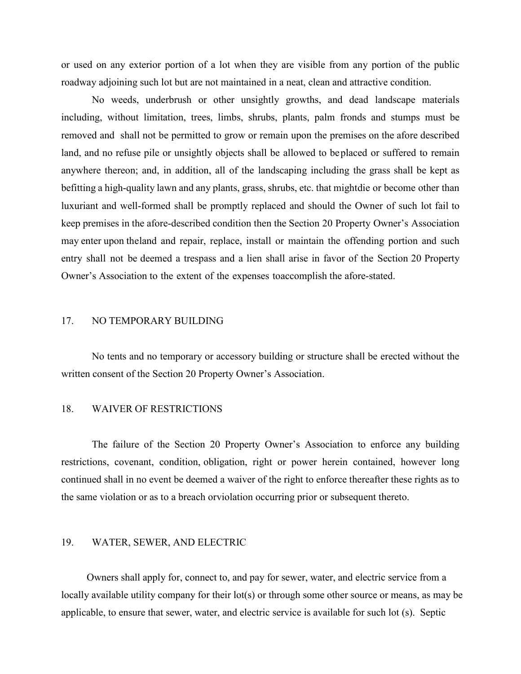or used on any exterior portion of a lot when they are visible from any portion of the public roadway adjoining such lot but are not maintained in a neat, clean and attractive condition.

No weeds, underbrush or other unsightly growths, and dead landscape materials including, without limitation, trees, limbs, shrubs, plants, palm fronds and stumps must be removed and shall not be permitted to grow or remain upon the premises on the afore described land, and no refuse pile or unsightly objects shall be allowed to beplaced or suffered to remain anywhere thereon; and, in addition, all of the landscaping including the grass shall be kept as befitting a high-quality lawn and any plants, grass, shrubs, etc. that mightdie or become other than luxuriant and well-formed shall be promptly replaced and should the Owner of such lot fail to keep premises in the afore-described condition then the Section 20 Property Owner's Association may enter upon theland and repair, replace, install or maintain the offending portion and such entry shall not be deemed a trespass and a lien shall arise in favor of the Section 20 Property Owner's Association to the extent of the expenses toaccomplish the afore-stated.

#### 17. NO TEMPORARY BUILDING

No tents and no temporary or accessory building or structure shall be erected without the written consent of the Section 20 Property Owner's Association.

## 18. WAIVER OF RESTRICTIONS

The failure of the Section 20 Property Owner's Association to enforce any building restrictions, covenant, condition, obligation, right or power herein contained, however long continued shall in no event be deemed a waiver of the right to enforce thereafter these rights as to the same violation or as to a breach orviolation occurring prior or subsequent thereto.

## 19. WATER, SEWER, AND ELECTRIC

Owners shall apply for, connect to, and pay for sewer, water, and electric service from a locally available utility company for their lot(s) or through some other source or means, as may be applicable, to ensure that sewer, water, and electric service is available for such lot (s). Septic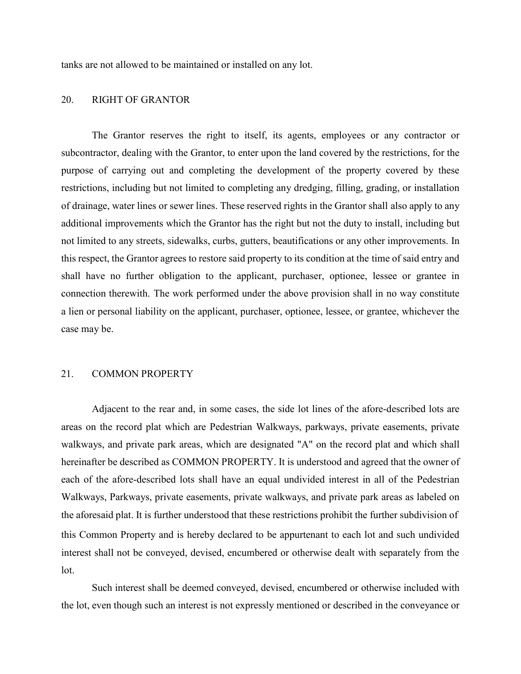tanks are not allowed to be maintained or installed on any lot.

# 20. RIGHT OF GRANTOR

The Grantor reserves the right to itself, its agents, employees or any contractor or subcontractor, dealing with the Grantor, to enter upon the land covered by the restrictions, for the purpose of carrying out and completing the development of the property covered by these restrictions, including but not limited to completing any dredging, filling, grading, or installation of drainage, water lines or sewer lines. These reserved rights in the Grantor shall also apply to any additional improvements which the Grantor has the right but not the duty to install, including but not limited to any streets, sidewalks, curbs, gutters, beautifications or any other improvements. In this respect, the Grantor agrees to restore said property to its condition at the time of said entry and shall have no further obligation to the applicant, purchaser, optionee, lessee or grantee in connection therewith. The work performed under the above provision shall in no way constitute a lien or personal liability on the applicant, purchaser, optionee, lessee, or grantee, whichever the case may be.

#### 21. COMMON PROPERTY

Adjacent to the rear and, in some cases, the side lot lines of the afore-described lots are areas on the record plat which are Pedestrian Walkways, parkways, private easements, private walkways, and private park areas, which are designated "A" on the record plat and which shall hereinafter be described as COMMON PROPERTY. It is understood and agreed that the owner of each of the afore-described lots shall have an equal undivided interest in all of the Pedestrian Walkways, Parkways, private easements, private walkways, and private park areas as labeled on the aforesaid plat. It is further understood that these restrictions prohibit the further subdivision of this Common Property and is hereby declared to be appurtenant to each lot and such undivided interest shall not be conveyed, devised, encumbered or otherwise dealt with separately from the lot.

Such interest shall be deemed conveyed, devised, encumbered or otherwise included with the lot, even though such an interest is not expressly mentioned or described in the conveyance or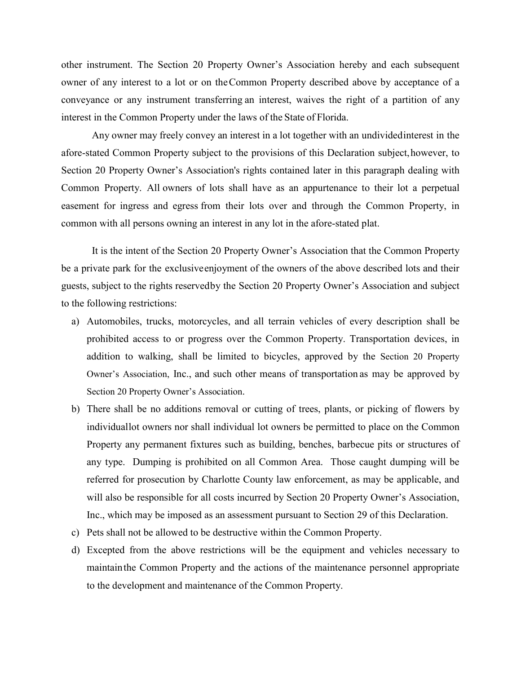other instrument. The Section 20 Property Owner's Association hereby and each subsequent owner of any interest to a lot or on theCommon Property described above by acceptance of a conveyance or any instrument transferring an interest, waives the right of a partition of any interest in the Common Property under the laws of the State of Florida.

Any owner may freely convey an interest in a lot together with an undividedinterest in the afore-stated Common Property subject to the provisions of this Declaration subject,however, to Section 20 Property Owner's Association's rights contained later in this paragraph dealing with Common Property. All owners of lots shall have as an appurtenance to their lot a perpetual easement for ingress and egress from their lots over and through the Common Property, in common with all persons owning an interest in any lot in the afore-stated plat.

It is the intent of the Section 20 Property Owner's Association that the Common Property be a private park for the exclusiveenjoyment of the owners of the above described lots and their guests, subject to the rights reservedby the Section 20 Property Owner's Association and subject to the following restrictions:

- a) Automobiles, trucks, motorcycles, and all terrain vehicles of every description shall be prohibited access to or progress over the Common Property. Transportation devices, in addition to walking, shall be limited to bicycles, approved by the Section 20 Property Owner's Association, Inc., and such other means of transportation as may be approved by Section 20 Property Owner's Association.
- b) There shall be no additions removal or cutting of trees, plants, or picking of flowers by individuallot owners nor shall individual lot owners be permitted to place on the Common Property any permanent fixtures such as building, benches, barbecue pits or structures of any type. Dumping is prohibited on all Common Area. Those caught dumping will be referred for prosecution by Charlotte County law enforcement, as may be applicable, and will also be responsible for all costs incurred by Section 20 Property Owner's Association, Inc., which may be imposed as an assessment pursuant to Section 29 of this Declaration.
- c) Pets shall not be allowed to be destructive within the Common Property.
- d) Excepted from the above restrictions will be the equipment and vehicles necessary to maintainthe Common Property and the actions of the maintenance personnel appropriate to the development and maintenance of the Common Property.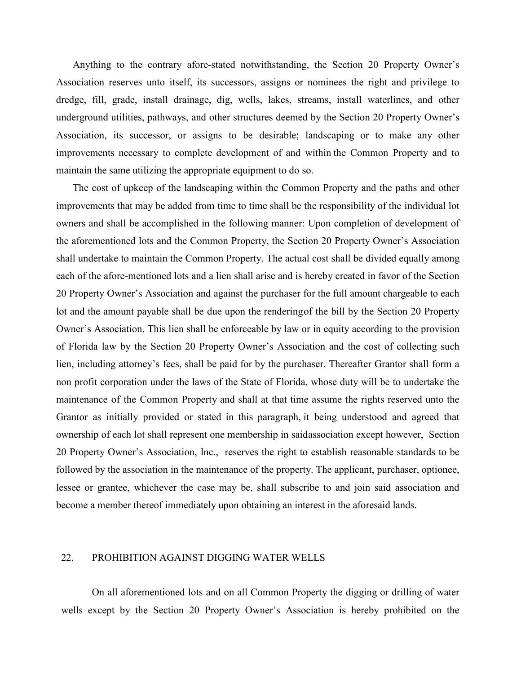Anything to the contrary afore-stated notwithstanding, the Section 20 Property Owner's Association reserves unto itself, its successors, assigns or nominees the right and privilege to dredge, fill, grade, install drainage, dig, wells, lakes, streams, install waterlines, and other underground utilities, pathways, and other structures deemed by the Section 20 Property Owner's Association, its successor, or assigns to be desirable; landscaping or to make any other improvements necessary to complete development of and within the Common Property and to maintain the same utilizing the appropriate equipment to do so.

The cost of upkeep of the landscaping within the Common Property and the paths and other improvements that may be added from time to time shall be the responsibility of the individual lot owners and shall be accomplished in the following manner: Upon completion of development of the aforementioned lots and the Common Property, the Section 20 Property Owner's Association shall undertake to maintain the Common Property. The actual cost shall be divided equally among each of the afore-mentioned lots and a lien shall arise and is hereby created in favor of the Section 20 Property Owner's Association and against the purchaser for the full amount chargeable to each lot and the amount payable shall be due upon the renderingof the bill by the Section 20 Property Owner's Association. This lien shall be enforceable by law or in equity according to the provision of Florida law by the Section 20 Property Owner's Association and the cost of collecting such lien, including attorney's fees, shall be paid for by the purchaser. Thereafter Grantor shall form a non profit corporation under the laws of the State of Florida, whose duty will be to undertake the maintenance of the Common Property and shall at that time assume the rights reserved unto the Grantor as initially provided or stated in this paragraph, it being understood and agreed that ownership of each lot shall represent one membership in saidassociation except however, Section 20 Property Owner's Association, Inc., reserves the right to establish reasonable standards to be followed by the association in the maintenance of the property. The applicant, purchaser, optionee, lessee or grantee, whichever the case may be, shall subscribe to and join said association and become a member thereof immediately upon obtaining an interest in the aforesaid lands.

# 22. PROHIBITION AGAINST DIGGING WATER WELLS

On all aforementioned lots and on all Common Property the digging or drilling of water wells except by the Section 20 Property Owner's Association is hereby prohibited on the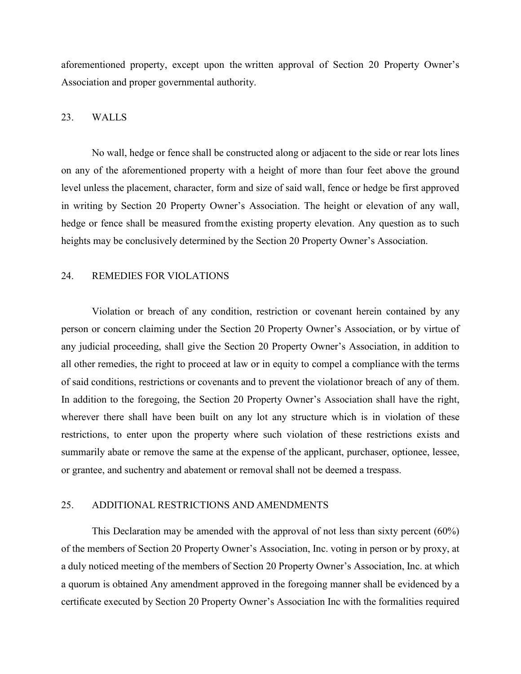aforementioned property, except upon the written approval of Section 20 Property Owner's Association and proper governmental authority.

# 23. WALLS

No wall, hedge or fence shall be constructed along or adjacent to the side or rear lots lines on any of the aforementioned property with a height of more than four feet above the ground level unless the placement, character, form and size of said wall, fence or hedge be first approved in writing by Section 20 Property Owner's Association. The height or elevation of any wall, hedge or fence shall be measured fromthe existing property elevation. Any question as to such heights may be conclusively determined by the Section 20 Property Owner's Association.

# 24. REMEDIES FOR VIOLATIONS

Violation or breach of any condition, restriction or covenant herein contained by any person or concern claiming under the Section 20 Property Owner's Association, or by virtue of any judicial proceeding, shall give the Section 20 Property Owner's Association, in addition to all other remedies, the right to proceed at law or in equity to compel a compliance with the terms of said conditions, restrictions or covenants and to prevent the violationor breach of any of them. In addition to the foregoing, the Section 20 Property Owner's Association shall have the right, wherever there shall have been built on any lot any structure which is in violation of these restrictions, to enter upon the property where such violation of these restrictions exists and summarily abate or remove the same at the expense of the applicant, purchaser, optionee, lessee, or grantee, and suchentry and abatement or removal shall not be deemed a trespass.

## 25. ADDITIONAL RESTRICTIONS AND AMENDMENTS

This Declaration may be amended with the approval of not less than sixty percent (60%) of the members of Section 20 Property Owner's Association, Inc. voting in person or by proxy, at a duly noticed meeting of the members of Section 20 Property Owner's Association, Inc. at which a quorum is obtained Any amendment approved in the foregoing manner shall be evidenced by a certificate executed by Section 20 Property Owner's Association Inc with the formalities required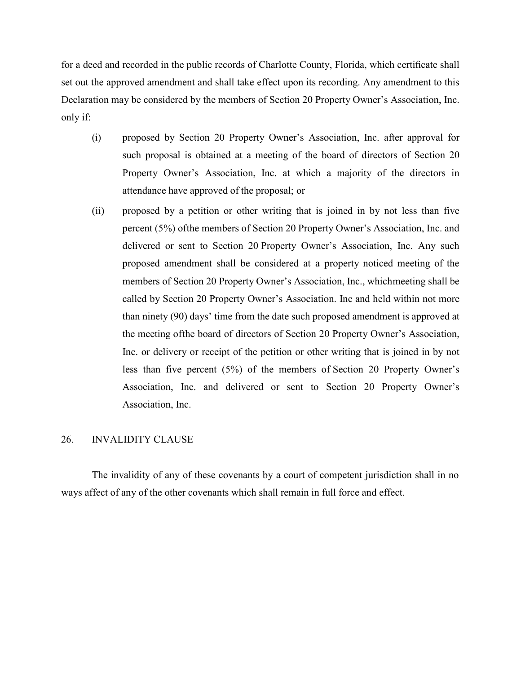for a deed and recorded in the public records of Charlotte County, Florida, which certificate shall set out the approved amendment and shall take effect upon its recording. Any amendment to this Declaration may be considered by the members of Section 20 Property Owner's Association, Inc. only if:

- (i) proposed by Section 20 Property Owner's Association, Inc. after approval for such proposal is obtained at a meeting of the board of directors of Section 20 Property Owner's Association, Inc. at which a majority of the directors in attendance have approved of the proposal; or
- (ii) proposed by a petition or other writing that is joined in by not less than five percent (5%) ofthe members of Section 20 Property Owner's Association, Inc. and delivered or sent to Section 20 Property Owner's Association, Inc. Any such proposed amendment shall be considered at a property noticed meeting of the members of Section 20 Property Owner's Association, Inc., whichmeeting shall be called by Section 20 Property Owner's Association. Inc and held within not more than ninety (90) days' time from the date such proposed amendment is approved at the meeting ofthe board of directors of Section 20 Property Owner's Association, Inc. or delivery or receipt of the petition or other writing that is joined in by not less than five percent (5%) of the members of Section 20 Property Owner's Association, Inc. and delivered or sent to Section 20 Property Owner's Association, Inc.

# 26. INVALIDITY CLAUSE

The invalidity of any of these covenants by a court of competent jurisdiction shall in no ways affect of any of the other covenants which shall remain in full force and effect.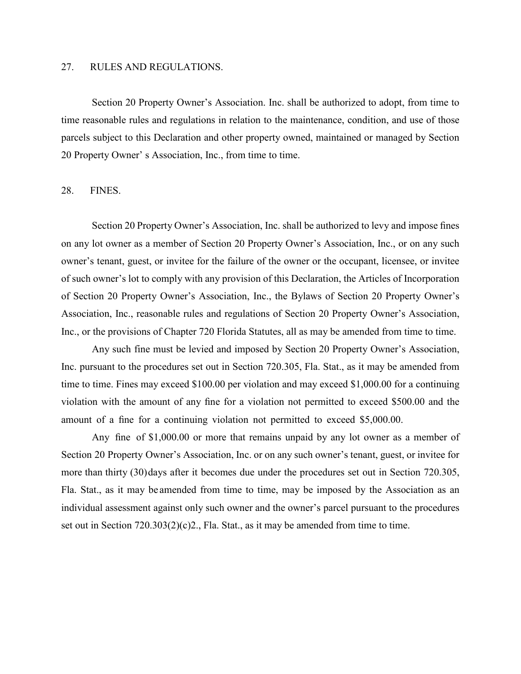## 27. RULES AND REGULATIONS.

Section 20 Property Owner's Association. Inc. shall be authorized to adopt, from time to time reasonable rules and regulations in relation to the maintenance, condition, and use of those parcels subject to this Declaration and other property owned, maintained or managed by Section 20 Property Owner' s Association, Inc., from time to time.

#### 28. FINES.

Section 20 Property Owner's Association, Inc. shall be authorized to levy and impose fines on any lot owner as a member of Section 20 Property Owner's Association, Inc., or on any such owner's tenant, guest, or invitee for the failure of the owner or the occupant, licensee, or invitee of such owner's lot to comply with any provision of this Declaration, the Articles of Incorporation of Section 20 Property Owner's Association, Inc., the Bylaws of Section 20 Property Owner's Association, Inc., reasonable rules and regulations of Section 20 Property Owner's Association, Inc., or the provisions of Chapter 720 Florida Statutes, all as may be amended from time to time.

Any such fine must be levied and imposed by Section 20 Property Owner's Association, Inc. pursuant to the procedures set out in Section 720.305, Fla. Stat., as it may be amended from time to time. Fines may exceed \$100.00 per violation and may exceed \$1,000.00 for a continuing violation with the amount of any fine for a violation not permitted to exceed \$500.00 and the amount of a fine for a continuing violation not permitted to exceed \$5,000.00.

Any fine of \$1,000.00 or more that remains unpaid by any lot owner as a member of Section 20 Property Owner's Association, Inc. or on any such owner's tenant, guest, or invitee for more than thirty (30)days after it becomes due under the procedures set out in Section 720.305, Fla. Stat., as it may be amended from time to time, may be imposed by the Association as an individual assessment against only such owner and the owner's parcel pursuant to the procedures set out in Section 720.303(2)(c)2., Fla. Stat., as it may be amended from time to time.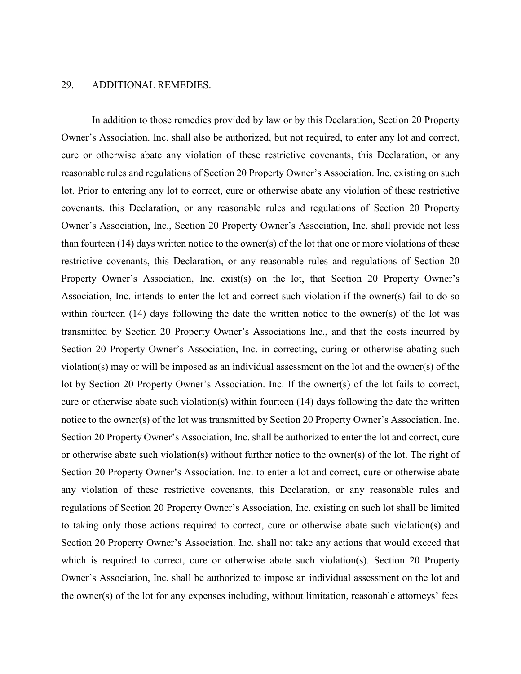## 29. ADDITIONAL REMEDIES.

In addition to those remedies provided by law or by this Declaration, Section 20 Property Owner's Association. Inc. shall also be authorized, but not required, to enter any lot and correct, cure or otherwise abate any violation of these restrictive covenants, this Declaration, or any reasonable rules and regulations of Section 20 Property Owner's Association. Inc. existing on such lot. Prior to entering any lot to correct, cure or otherwise abate any violation of these restrictive covenants. this Declaration, or any reasonable rules and regulations of Section 20 Property Owner's Association, Inc., Section 20 Property Owner's Association, Inc. shall provide not less than fourteen (14) days written notice to the owner(s) of the lot that one or more violations of these restrictive covenants, this Declaration, or any reasonable rules and regulations of Section 20 Property Owner's Association, Inc. exist(s) on the lot, that Section 20 Property Owner's Association, Inc. intends to enter the lot and correct such violation if the owner(s) fail to do so within fourteen (14) days following the date the written notice to the owner(s) of the lot was transmitted by Section 20 Property Owner's Associations Inc., and that the costs incurred by Section 20 Property Owner's Association, Inc. in correcting, curing or otherwise abating such violation(s) may or will be imposed as an individual assessment on the lot and the owner(s) of the lot by Section 20 Property Owner's Association. Inc. If the owner(s) of the lot fails to correct, cure or otherwise abate such violation(s) within fourteen (14) days following the date the written notice to the owner(s) of the lot was transmitted by Section 20 Property Owner's Association. Inc. Section 20 Property Owner's Association, Inc. shall be authorized to enter the lot and correct, cure or otherwise abate such violation(s) without further notice to the owner(s) of the lot. The right of Section 20 Property Owner's Association. Inc. to enter a lot and correct, cure or otherwise abate any violation of these restrictive covenants, this Declaration, or any reasonable rules and regulations of Section 20 Property Owner's Association, Inc. existing on such lot shall be limited to taking only those actions required to correct, cure or otherwise abate such violation(s) and Section 20 Property Owner's Association. Inc. shall not take any actions that would exceed that which is required to correct, cure or otherwise abate such violation(s). Section 20 Property Owner's Association, Inc. shall be authorized to impose an individual assessment on the lot and the owner(s) of the lot for any expenses including, without limitation, reasonable attorneys' fees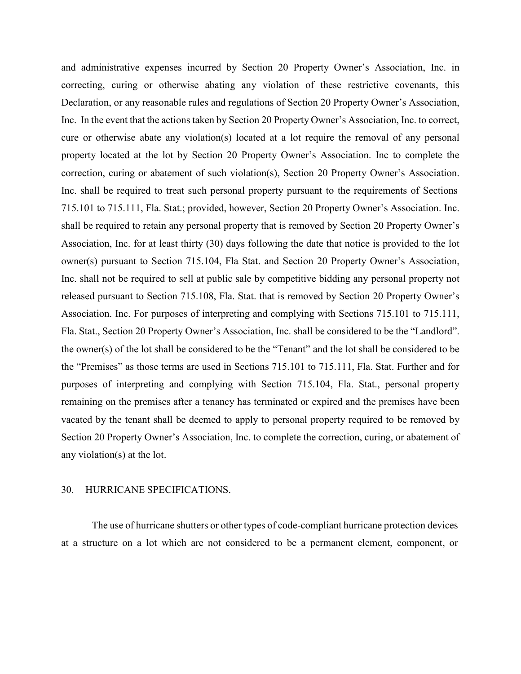and administrative expenses incurred by Section 20 Property Owner's Association, Inc. in correcting, curing or otherwise abating any violation of these restrictive covenants, this Declaration, or any reasonable rules and regulations of Section 20 Property Owner's Association, Inc. In the event that the actions taken by Section 20 Property Owner's Association, Inc. to correct, cure or otherwise abate any violation(s) located at a lot require the removal of any personal property located at the lot by Section 20 Property Owner's Association. Inc to complete the correction, curing or abatement of such violation(s), Section 20 Property Owner's Association. Inc. shall be required to treat such personal property pursuant to the requirements of Sections 715.101 to 715.111, Fla. Stat.; provided, however, Section 20 Property Owner's Association. Inc. shall be required to retain any personal property that is removed by Section 20 Property Owner's Association, Inc. for at least thirty (30) days following the date that notice is provided to the lot owner(s) pursuant to Section 715.104, Fla Stat. and Section 20 Property Owner's Association, Inc. shall not be required to sell at public sale by competitive bidding any personal property not released pursuant to Section 715.108, Fla. Stat. that is removed by Section 20 Property Owner's Association. Inc. For purposes of interpreting and complying with Sections 715.101 to 715.111, Fla. Stat., Section 20 Property Owner's Association, Inc. shall be considered to be the "Landlord". the owner(s) of the lot shall be considered to be the "Tenant" and the lot shall be considered to be the "Premises" as those terms are used in Sections 715.101 to 715.111, Fla. Stat. Further and for purposes of interpreting and complying with Section 715.104, Fla. Stat., personal property remaining on the premises after a tenancy has terminated or expired and the premises have been vacated by the tenant shall be deemed to apply to personal property required to be removed by Section 20 Property Owner's Association, Inc. to complete the correction, curing, or abatement of any violation(s) at the lot.

#### 30. HURRICANE SPECIFICATIONS.

The use of hurricane shutters or other types of code-compliant hurricane protection devices at a structure on a lot which are not considered to be a permanent element, component, or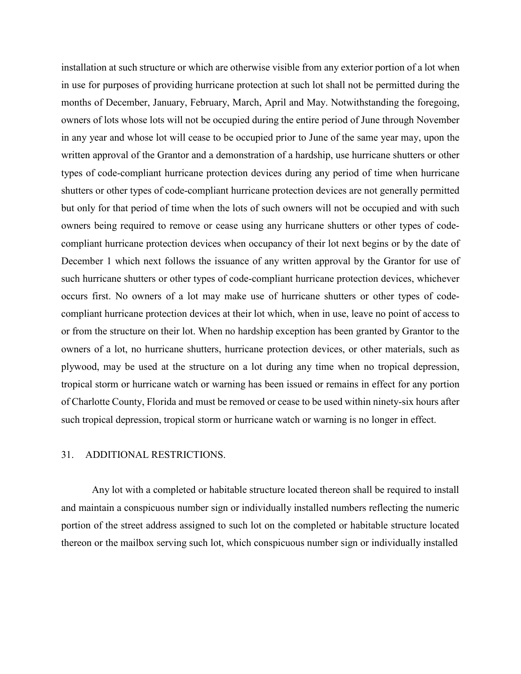installation at such structure or which are otherwise visible from any exterior portion of a lot when in use for purposes of providing hurricane protection at such lot shall not be permitted during the months of December, January, February, March, April and May. Notwithstanding the foregoing, owners of lots whose lots will not be occupied during the entire period of June through November in any year and whose lot will cease to be occupied prior to June of the same year may, upon the written approval of the Grantor and a demonstration of a hardship, use hurricane shutters or other types of code-compliant hurricane protection devices during any period of time when hurricane shutters or other types of code-compliant hurricane protection devices are not generally permitted but only for that period of time when the lots of such owners will not be occupied and with such owners being required to remove or cease using any hurricane shutters or other types of codecompliant hurricane protection devices when occupancy of their lot next begins or by the date of December 1 which next follows the issuance of any written approval by the Grantor for use of such hurricane shutters or other types of code-compliant hurricane protection devices, whichever occurs first. No owners of a lot may make use of hurricane shutters or other types of codecompliant hurricane protection devices at their lot which, when in use, leave no point of access to or from the structure on their lot. When no hardship exception has been granted by Grantor to the owners of a lot, no hurricane shutters, hurricane protection devices, or other materials, such as plywood, may be used at the structure on a lot during any time when no tropical depression, tropical storm or hurricane watch or warning has been issued or remains in effect for any portion of Charlotte County, Florida and must be removed or cease to be used within ninety-six hours after such tropical depression, tropical storm or hurricane watch or warning is no longer in effect.

## 31. ADDITIONAL RESTRICTIONS.

Any lot with a completed or habitable structure located thereon shall be required to install and maintain a conspicuous number sign or individually installed numbers reflecting the numeric portion of the street address assigned to such lot on the completed or habitable structure located thereon or the mailbox serving such lot, which conspicuous number sign or individually installed